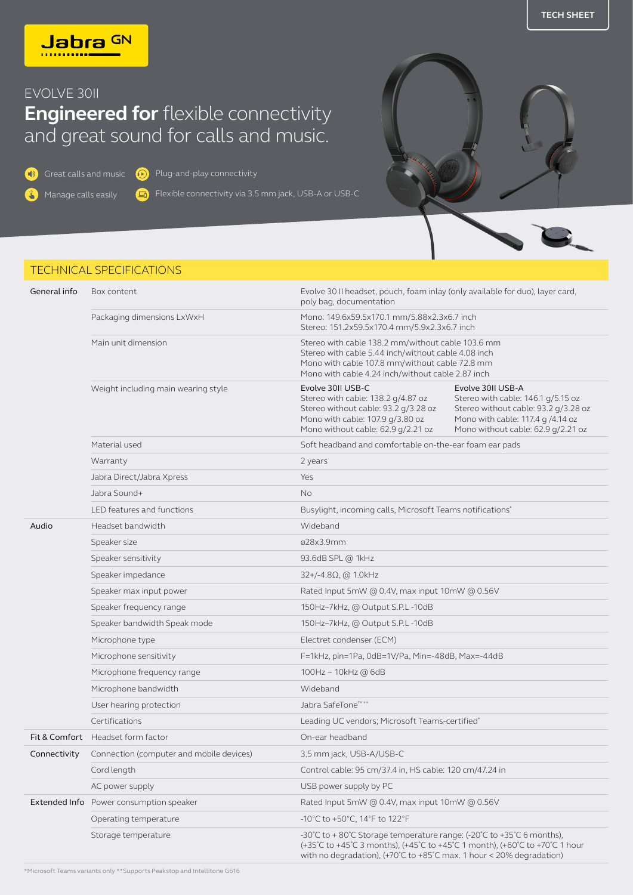

## EVOLVE 30II

## **Engineered for** flexible connectivity and great sound for calls and music.

G

 $\bigcirc$  Great calls and music  $\bigcirc$  Plug-and-play connectivity

**T** 

Manage calls easily

Flexible connectivity via 3.5 mm jack, USB-A or USB-C





## TECHNICAL SPECIFICATIONS

| General info | Box content                                    | Evolve 30 II headset, pouch, foam inlay (only available for duo), layer card,<br>poly bag, documentation                                                                                                                    |                                                                                                                                                                            |
|--------------|------------------------------------------------|-----------------------------------------------------------------------------------------------------------------------------------------------------------------------------------------------------------------------------|----------------------------------------------------------------------------------------------------------------------------------------------------------------------------|
|              | Packaging dimensions LxWxH                     | Mono: 149.6x59.5x170.1 mm/5.88x2.3x6.7 inch<br>Stereo: 151.2x59.5x170.4 mm/5.9x2.3x6.7 inch                                                                                                                                 |                                                                                                                                                                            |
|              | Main unit dimension                            | Stereo with cable 138.2 mm/without cable 103.6 mm<br>Stereo with cable 5.44 inch/without cable 4.08 inch<br>Mono with cable 107.8 mm/without cable 72.8 mm<br>Mono with cable 4.24 inch/without cable 2.87 inch             |                                                                                                                                                                            |
|              | Weight including main wearing style            | Evolve 30II USB-C<br>Stereo with cable: 138.2 g/4.87 oz<br>Stereo without cable: 93.2 g/3.28 oz<br>Mono with cable: 107.9 g/3.80 oz<br>Mono without cable: 62.9 g/2.21 oz                                                   | Evolve 30II USB-A<br>Stereo with cable: 146.1 g/5.15 oz<br>Stereo without cable: 93.2 g/3.28 oz<br>Mono with cable: 117.4 g /4.14 oz<br>Mono without cable: 62.9 g/2.21 oz |
|              | Material used                                  | Soft headband and comfortable on-the-ear foam ear pads                                                                                                                                                                      |                                                                                                                                                                            |
|              | Warranty                                       | 2 years                                                                                                                                                                                                                     |                                                                                                                                                                            |
|              | Jabra Direct/Jabra Xpress                      | Yes                                                                                                                                                                                                                         |                                                                                                                                                                            |
|              | Jabra Sound+                                   | <b>No</b>                                                                                                                                                                                                                   |                                                                                                                                                                            |
|              | LED features and functions                     | Busylight, incoming calls, Microsoft Teams notifications*                                                                                                                                                                   |                                                                                                                                                                            |
| Audio        | Headset bandwidth                              | Wideband                                                                                                                                                                                                                    |                                                                                                                                                                            |
|              | Speaker size                                   | ø28x3.9mm                                                                                                                                                                                                                   |                                                                                                                                                                            |
|              | Speaker sensitivity                            | 93.6dB SPL @ 1kHz                                                                                                                                                                                                           |                                                                                                                                                                            |
|              | Speaker impedance                              | $32+/-4.8\Omega$ , @ 1.0kHz                                                                                                                                                                                                 |                                                                                                                                                                            |
|              | Speaker max input power                        | Rated Input 5mW @ 0.4V, max input 10mW @ 0.56V                                                                                                                                                                              |                                                                                                                                                                            |
|              | Speaker frequency range                        | 150Hz~7kHz, @ Output S.P.L-10dB                                                                                                                                                                                             |                                                                                                                                                                            |
|              | Speaker bandwidth Speak mode                   | 150Hz~7kHz, @ Output S.P.L-10dB                                                                                                                                                                                             |                                                                                                                                                                            |
|              | Microphone type                                | Electret condenser (ECM)                                                                                                                                                                                                    |                                                                                                                                                                            |
|              | Microphone sensitivity                         | F=1kHz, pin=1Pa, 0dB=1V/Pa, Min=-48dB, Max=-44dB                                                                                                                                                                            |                                                                                                                                                                            |
|              | Microphone frequency range                     | 100Hz ~ 10kHz @ 6dB                                                                                                                                                                                                         |                                                                                                                                                                            |
|              | Microphone bandwidth                           | Wideband                                                                                                                                                                                                                    |                                                                                                                                                                            |
|              | User hearing protection                        | Jabra SafeTone™**                                                                                                                                                                                                           |                                                                                                                                                                            |
|              | Certifications                                 | Leading UC vendors; Microsoft Teams-certified*                                                                                                                                                                              |                                                                                                                                                                            |
|              | Fit & Comfort Headset form factor              | On-ear headband                                                                                                                                                                                                             |                                                                                                                                                                            |
| Connectivity | Connection (computer and mobile devices)       | 3.5 mm jack, USB-A/USB-C                                                                                                                                                                                                    |                                                                                                                                                                            |
|              | Cord length                                    | Control cable: 95 cm/37.4 in, HS cable: 120 cm/47.24 in                                                                                                                                                                     |                                                                                                                                                                            |
|              | AC power supply                                | USB power supply by PC                                                                                                                                                                                                      |                                                                                                                                                                            |
|              | <b>Extended Info</b> Power consumption speaker | Rated Input 5mW @ 0.4V, max input 10mW @ 0.56V                                                                                                                                                                              |                                                                                                                                                                            |
|              | Operating temperature                          | -10°C to +50°C, 14°F to 122°F                                                                                                                                                                                               |                                                                                                                                                                            |
|              | Storage temperature                            | -30°C to +80°C Storage temperature range: (-20°C to +35°C 6 months),<br>(+35°C to +45°C 3 months), (+45°C to +45°C 1 month), (+60°C to +70°C 1 hour<br>with no degradation), (+70°C to +85°C max. 1 hour < 20% degradation) |                                                                                                                                                                            |

\*Microsoft Teams variants only \*\*Supports Peakstop and Intellitone G616